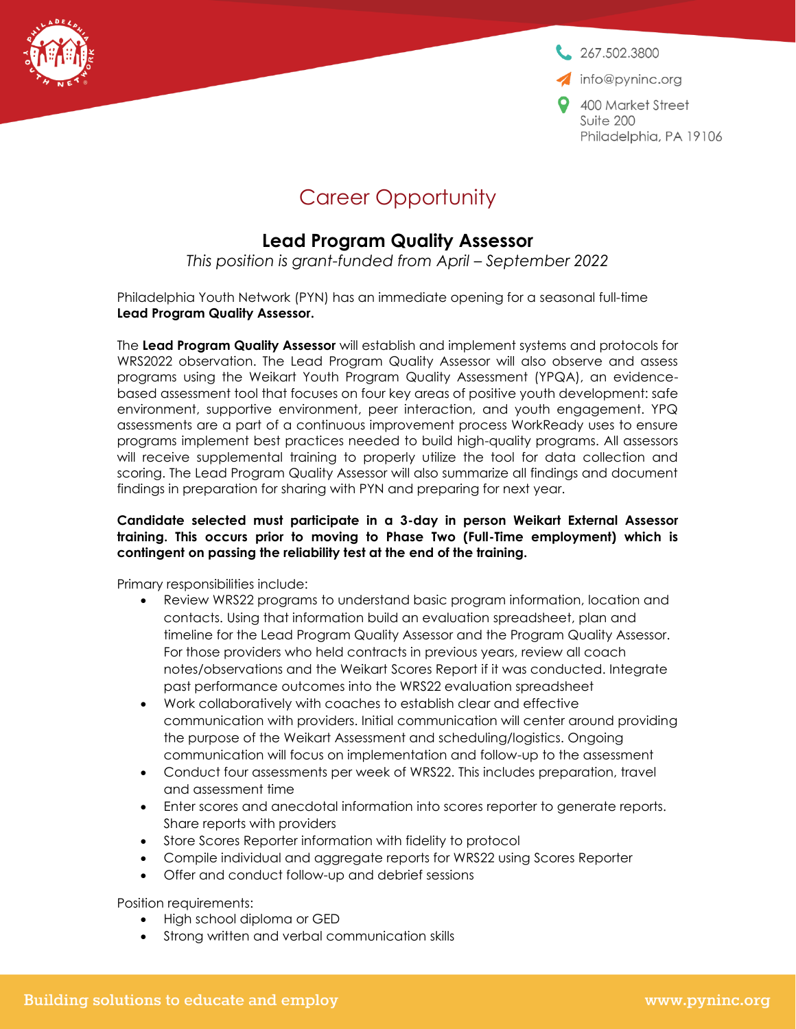267,502,3800

info@pyninc.org

400 Market Street Suite 200 Philadelphia, PA 19106

## Career Opportunity

## **Lead Program Quality Assessor**

*This position is grant-funded from April – September 2022*

Philadelphia Youth Network (PYN) has an immediate opening for a seasonal full-time **Lead Program Quality Assessor.**

The **Lead Program Quality Assessor** will establish and implement systems and protocols for WRS2022 observation. The Lead Program Quality Assessor will also observe and assess programs using the Weikart Youth Program Quality Assessment (YPQA), an evidencebased assessment tool that focuses on four key areas of positive youth development: safe environment, supportive environment, peer interaction, and youth engagement. YPQ assessments are a part of a continuous improvement process WorkReady uses to ensure programs implement best practices needed to build high-quality programs. All assessors will receive supplemental training to properly utilize the tool for data collection and scoring. The Lead Program Quality Assessor will also summarize all findings and document findings in preparation for sharing with PYN and preparing for next year.

## **Candidate selected must participate in a 3-day in person Weikart External Assessor training. This occurs prior to moving to Phase Two (Full-Time employment) which is contingent on passing the reliability test at the end of the training.**

Primary responsibilities include:

- Review WRS22 programs to understand basic program information, location and contacts. Using that information build an evaluation spreadsheet, plan and timeline for the Lead Program Quality Assessor and the Program Quality Assessor. For those providers who held contracts in previous years, review all coach notes/observations and the Weikart Scores Report if it was conducted. Integrate past performance outcomes into the WRS22 evaluation spreadsheet
- Work collaboratively with coaches to establish clear and effective communication with providers. Initial communication will center around providing the purpose of the Weikart Assessment and scheduling/logistics. Ongoing communication will focus on implementation and follow-up to the assessment
- Conduct four assessments per week of WRS22. This includes preparation, travel and assessment time
- Enter scores and anecdotal information into scores reporter to generate reports. Share reports with providers
- Store Scores Reporter information with fidelity to protocol
- Compile individual and aggregate reports for WRS22 using Scores Reporter
- Offer and conduct follow-up and debrief sessions

Position requirements:

- High school diploma or GED
- Strong written and verbal communication skills